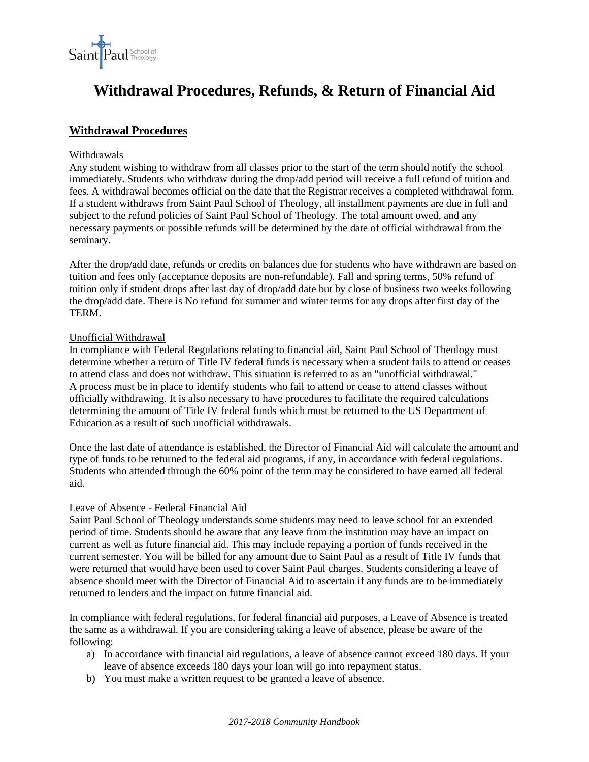

# **Withdrawal Procedures, Refunds, & Return of Financial Aid**

# **Withdrawal Procedures**

#### Withdrawals

Any student wishing to withdraw from all classes prior to the start of the term should notify the school immediately. Students who withdraw during the drop/add period will receive a full refund of tuition and fees. A withdrawal becomes official on the date that the Registrar receives a completed withdrawal form. If a student withdraws from Saint Paul School of Theology, all installment payments are due in full and subject to the refund policies of Saint Paul School of Theology. The total amount owed, and any necessary payments or possible refunds will be determined by the date of official withdrawal from the seminary.

After the drop/add date, refunds or credits on balances due for students who have withdrawn are based on tuition and fees only (acceptance deposits are non-refundable). Fall and spring terms, 50% refund of tuition only if student drops after last day of drop/add date but by close of business two weeks following the drop/add date. There is No refund for summer and winter terms for any drops after first day of the TERM.

#### Unofficial Withdrawal

In compliance with Federal Regulations relating to financial aid, Saint Paul School of Theology must determine whether a return of Title IV federal funds is necessary when a student fails to attend or ceases to attend class and does not withdraw. This situation is referred to as an "unofficial withdrawal." A process must be in place to identify students who fail to attend or cease to attend classes without officially withdrawing. It is also necessary to have procedures to facilitate the required calculations determining the amount of Title IV federal funds which must be returned to the US Department of Education as a result of such unofficial withdrawals.

Once the last date of attendance is established, the Director of Financial Aid will calculate the amount and type of funds to be returned to the federal aid programs, if any, in accordance with federal regulations. Students who attended through the 60% point of the term may be considered to have earned all federal aid.

#### Leave of Absence - Federal Financial Aid

Saint Paul School of Theology understands some students may need to leave school for an extended period of time. Students should be aware that any leave from the institution may have an impact on current as well as future financial aid. This may include repaying a portion of funds received in the current semester. You will be billed for any amount due to Saint Paul as a result of Title IV funds that were returned that would have been used to cover Saint Paul charges. Students considering a leave of absence should meet with the Director of Financial Aid to ascertain if any funds are to be immediately returned to lenders and the impact on future financial aid.

In compliance with federal regulations, for federal financial aid purposes, a Leave of Absence is treated the same as a withdrawal. If you are considering taking a leave of absence, please be aware of the following:

- a) In accordance with financial aid regulations, a leave of absence cannot exceed 180 days. If your leave of absence exceeds 180 days your loan will go into repayment status.
- b) You must make a written request to be granted a leave of absence.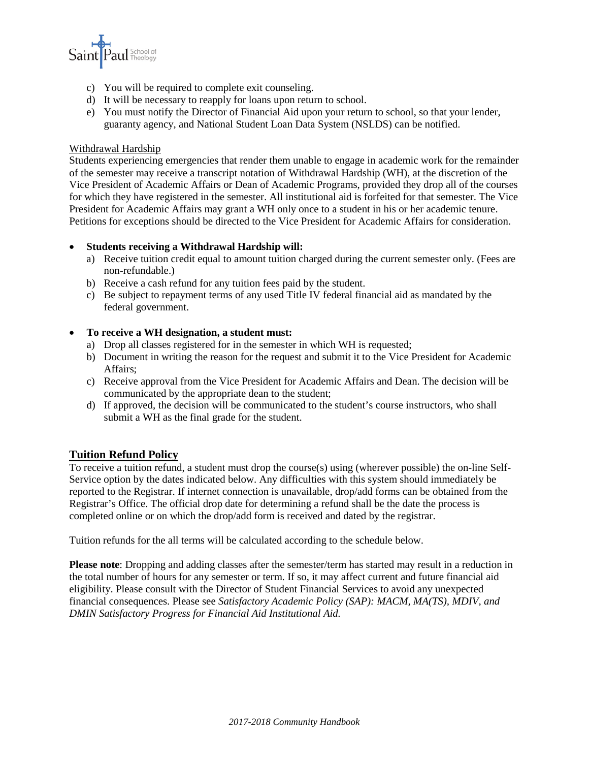

- c) You will be required to complete exit counseling.
- d) It will be necessary to reapply for loans upon return to school.
- e) You must notify the Director of Financial Aid upon your return to school, so that your lender, guaranty agency, and National Student Loan Data System (NSLDS) can be notified.

#### Withdrawal Hardship

Students experiencing emergencies that render them unable to engage in academic work for the remainder of the semester may receive a transcript notation of Withdrawal Hardship (WH), at the discretion of the Vice President of Academic Affairs or Dean of Academic Programs, provided they drop all of the courses for which they have registered in the semester. All institutional aid is forfeited for that semester. The Vice President for Academic Affairs may grant a WH only once to a student in his or her academic tenure. Petitions for exceptions should be directed to the Vice President for Academic Affairs for consideration.

### • **Students receiving a Withdrawal Hardship will:**

- a) Receive tuition credit equal to amount tuition charged during the current semester only. (Fees are non-refundable.)
- b) Receive a cash refund for any tuition fees paid by the student.
- c) Be subject to repayment terms of any used Title IV federal financial aid as mandated by the federal government.

#### • **To receive a WH designation, a student must:**

- a) Drop all classes registered for in the semester in which WH is requested;
- b) Document in writing the reason for the request and submit it to the Vice President for Academic Affairs;
- c) Receive approval from the Vice President for Academic Affairs and Dean. The decision will be communicated by the appropriate dean to the student;
- d) If approved, the decision will be communicated to the student's course instructors, who shall submit a WH as the final grade for the student.

### **Tuition Refund Policy**

To receive a tuition refund, a student must drop the course(s) using (wherever possible) the on-line Self-Service option by the dates indicated below. Any difficulties with this system should immediately be reported to the Registrar. If internet connection is unavailable, drop/add forms can be obtained from the Registrar's Office. The official drop date for determining a refund shall be the date the process is completed online or on which the drop/add form is received and dated by the registrar.

Tuition refunds for the all terms will be calculated according to the schedule below.

**Please note**: Dropping and adding classes after the semester/term has started may result in a reduction in the total number of hours for any semester or term. If so, it may affect current and future financial aid eligibility. Please consult with the Director of Student Financial Services to avoid any unexpected financial consequences. Please see *Satisfactory Academic Policy (SAP): MACM, MA(TS), MDIV, and DMIN Satisfactory Progress for Financial Aid Institutional Aid.*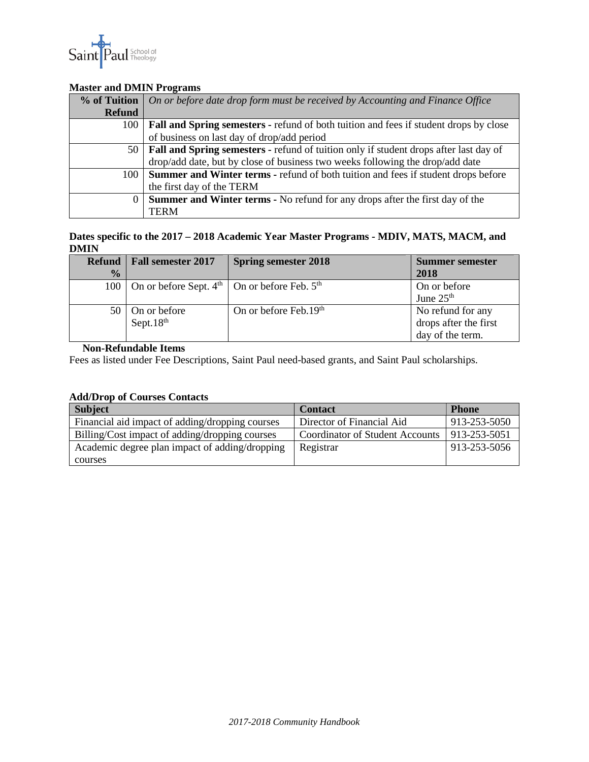

## **Master and DMIN Programs**

| % of Tuition  | On or before date drop form must be received by Accounting and Finance Office                |  |  |
|---------------|----------------------------------------------------------------------------------------------|--|--|
| <b>Refund</b> |                                                                                              |  |  |
| 100           | <b>Fall and Spring semesters - refund of both tuition and fees if student drops by close</b> |  |  |
|               | of business on last day of drop/add period                                                   |  |  |
| 50            | <b>Fall and Spring semesters - refund of tuition only if student drops after last day of</b> |  |  |
|               | drop/add date, but by close of business two weeks following the drop/add date                |  |  |
| 100           | <b>Summer and Winter terms - refund of both tuition and fees if student drops before</b>     |  |  |
|               | the first day of the TERM                                                                    |  |  |
| $\Omega$      | <b>Summer and Winter terms - No refund for any drops after the first day of the</b>          |  |  |
|               | <b>TERM</b>                                                                                  |  |  |

#### **Dates specific to the 2017 – 2018 Academic Year Master Programs - MDIV, MATS, MACM, and DMIN**

| <b>Refund</b> | <b>Fall semester 2017</b>                                              | <b>Spring semester 2018</b> | <b>Summer semester</b> |
|---------------|------------------------------------------------------------------------|-----------------------------|------------------------|
| $\frac{1}{2}$ |                                                                        |                             | 2018                   |
| 100           | On or before Sept. $4^{\text{th}}$   On or before Feb. $5^{\text{th}}$ |                             | On or before           |
|               |                                                                        |                             | June 25 <sup>th</sup>  |
| 50            | On or before                                                           | On or before Feb.19th       | No refund for any      |
|               | Sept. $18th$                                                           |                             | drops after the first  |
|               |                                                                        |                             | day of the term.       |

## **Non-Refundable Items**

Fees as listed under Fee Descriptions, Saint Paul need-based grants, and Saint Paul scholarships.

# **Add/Drop of Courses Contacts**

| <b>Subject</b>                                  | <b>Contact</b>                         | <b>Phone</b> |
|-------------------------------------------------|----------------------------------------|--------------|
| Financial aid impact of adding/dropping courses | Director of Financial Aid              | 913-253-5050 |
| Billing/Cost impact of adding/dropping courses  | <b>Coordinator of Student Accounts</b> | 913-253-5051 |
| Academic degree plan impact of adding/dropping  | Registrar                              | 913-253-5056 |
| courses                                         |                                        |              |